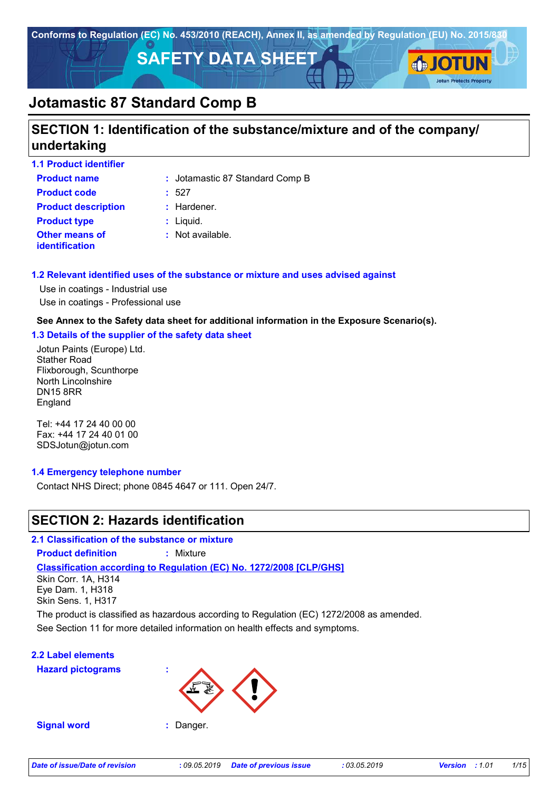

# **SECTION 1: Identification of the substance/mixture and of the company/ undertaking**

| <b>1.1 Product identifier</b>                  |                                 |
|------------------------------------------------|---------------------------------|
| <b>Product name</b>                            | : Jotamastic 87 Standard Comp B |
| <b>Product code</b>                            | :527                            |
| <b>Product description</b>                     | $:$ Hardener.                   |
| <b>Product type</b>                            | $:$ Liquid.                     |
| <b>Other means of</b><br><b>identification</b> | $:$ Not available.              |

#### **1.2 Relevant identified uses of the substance or mixture and uses advised against**

Use in coatings - Industrial use Use in coatings - Professional use

#### **See Annex to the Safety data sheet for additional information in the Exposure Scenario(s).**

#### **1.3 Details of the supplier of the safety data sheet**

Jotun Paints (Europe) Ltd. Stather Road Flixborough, Scunthorpe North Lincolnshire DN15 8RR England

Tel: +44 17 24 40 00 00 Fax: +44 17 24 40 01 00 SDSJotun@jotun.com

#### **1.4 Emergency telephone number**

Contact NHS Direct; phone 0845 4647 or 111. Open 24/7.

### **SECTION 2: Hazards identification**

**2.1 Classification of the substance or mixture Product definition :** Mixture

#### **Classification according to Regulation (EC) No. 1272/2008 [CLP/GHS]**

Skin Corr. 1A, H314 Eye Dam. 1, H318 Skin Sens. 1, H317

See Section 11 for more detailed information on health effects and symptoms. The product is classified as hazardous according to Regulation (EC) 1272/2008 as amended.

### **2.2 Label elements**

**Hazard pictograms :**



**Signal word :** Danger.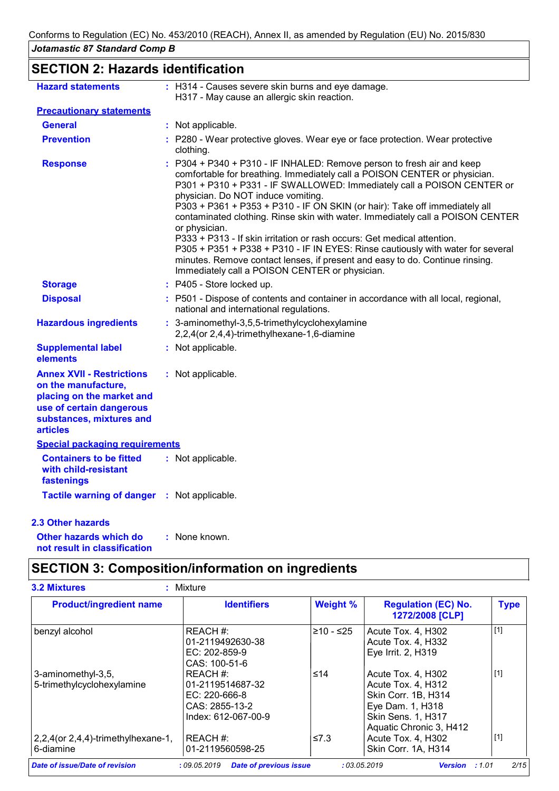**SECTION 2: Hazards identification**

| <b>Hazard statements</b>                                                                                                                                        | : H314 - Causes severe skin burns and eye damage.<br>H317 - May cause an allergic skin reaction.                                                                                                                                                                                                                                                                                                                                                                                                                                                                                                                                                                                                                                                     |
|-----------------------------------------------------------------------------------------------------------------------------------------------------------------|------------------------------------------------------------------------------------------------------------------------------------------------------------------------------------------------------------------------------------------------------------------------------------------------------------------------------------------------------------------------------------------------------------------------------------------------------------------------------------------------------------------------------------------------------------------------------------------------------------------------------------------------------------------------------------------------------------------------------------------------------|
| <b>Precautionary statements</b>                                                                                                                                 |                                                                                                                                                                                                                                                                                                                                                                                                                                                                                                                                                                                                                                                                                                                                                      |
| <b>General</b>                                                                                                                                                  | : Not applicable.                                                                                                                                                                                                                                                                                                                                                                                                                                                                                                                                                                                                                                                                                                                                    |
| <b>Prevention</b>                                                                                                                                               | : P280 - Wear protective gloves. Wear eye or face protection. Wear protective<br>clothing.                                                                                                                                                                                                                                                                                                                                                                                                                                                                                                                                                                                                                                                           |
| <b>Response</b>                                                                                                                                                 | : P304 + P340 + P310 - IF INHALED: Remove person to fresh air and keep<br>comfortable for breathing. Immediately call a POISON CENTER or physician.<br>P301 + P310 + P331 - IF SWALLOWED: Immediately call a POISON CENTER or<br>physician. Do NOT induce vomiting.<br>P303 + P361 + P353 + P310 - IF ON SKIN (or hair): Take off immediately all<br>contaminated clothing. Rinse skin with water. Immediately call a POISON CENTER<br>or physician.<br>P333 + P313 - If skin irritation or rash occurs: Get medical attention.<br>P305 + P351 + P338 + P310 - IF IN EYES: Rinse cautiously with water for several<br>minutes. Remove contact lenses, if present and easy to do. Continue rinsing.<br>Immediately call a POISON CENTER or physician. |
| <b>Storage</b>                                                                                                                                                  | : P405 - Store locked up.                                                                                                                                                                                                                                                                                                                                                                                                                                                                                                                                                                                                                                                                                                                            |
| <b>Disposal</b>                                                                                                                                                 | : P501 - Dispose of contents and container in accordance with all local, regional,<br>national and international regulations.                                                                                                                                                                                                                                                                                                                                                                                                                                                                                                                                                                                                                        |
| <b>Hazardous ingredients</b>                                                                                                                                    | : 3-aminomethyl-3,5,5-trimethylcyclohexylamine<br>2,2,4(or 2,4,4)-trimethylhexane-1,6-diamine                                                                                                                                                                                                                                                                                                                                                                                                                                                                                                                                                                                                                                                        |
| <b>Supplemental label</b><br>elements                                                                                                                           | : Not applicable.                                                                                                                                                                                                                                                                                                                                                                                                                                                                                                                                                                                                                                                                                                                                    |
| <b>Annex XVII - Restrictions</b><br>on the manufacture,<br>placing on the market and<br>use of certain dangerous<br>substances, mixtures and<br><b>articles</b> | : Not applicable.                                                                                                                                                                                                                                                                                                                                                                                                                                                                                                                                                                                                                                                                                                                                    |
| <b>Special packaging requirements</b>                                                                                                                           |                                                                                                                                                                                                                                                                                                                                                                                                                                                                                                                                                                                                                                                                                                                                                      |
| <b>Containers to be fitted</b><br>with child-resistant<br>fastenings                                                                                            | : Not applicable.                                                                                                                                                                                                                                                                                                                                                                                                                                                                                                                                                                                                                                                                                                                                    |
| Tactile warning of danger : Not applicable.                                                                                                                     |                                                                                                                                                                                                                                                                                                                                                                                                                                                                                                                                                                                                                                                                                                                                                      |
| <b>2.3 Other hazards</b>                                                                                                                                        |                                                                                                                                                                                                                                                                                                                                                                                                                                                                                                                                                                                                                                                                                                                                                      |

**Other hazards which do : not result in classification** : None known.

# **SECTION 3: Composition/information on ingredients**

| <b>Product/ingredient name</b>           | <b>Identifiers</b>  | <b>Weight %</b> | <b>Regulation (EC) No.</b><br>1272/2008 [CLP] | <b>Type</b> |
|------------------------------------------|---------------------|-----------------|-----------------------------------------------|-------------|
| benzyl alcohol                           | REACH #:            | $≥10 - ≤25$     | Acute Tox. 4, H302                            | $[1]$       |
|                                          | 01-2119492630-38    |                 | Acute Tox. 4, H332                            |             |
|                                          | $EC: 202-859-9$     |                 | Eye Irrit. 2, H319                            |             |
|                                          | CAS: 100-51-6       |                 |                                               |             |
| 3-aminomethyl-3,5,                       | REACH #:            | ≤14             | Acute Tox. 4, H302                            | $[1]$       |
| 5-trimethylcyclohexylamine               | 01-2119514687-32    |                 | Acute Tox. 4, H312                            |             |
|                                          | $EC: 220-666-8$     |                 | Skin Corr. 1B, H314                           |             |
|                                          | CAS: 2855-13-2      |                 | Eye Dam. 1, H318                              |             |
|                                          | Index: 612-067-00-9 |                 | Skin Sens. 1, H317                            |             |
|                                          |                     |                 | Aquatic Chronic 3, H412                       |             |
| $2,2,4$ (or $2,4,4$ )-trimethylhexane-1, | REACH #:            | $\leq 7.3$      | Acute Tox. 4, H302                            | $[1]$       |
| 6-diamine                                | 01-2119560598-25    |                 | Skin Corr. 1A, H314                           |             |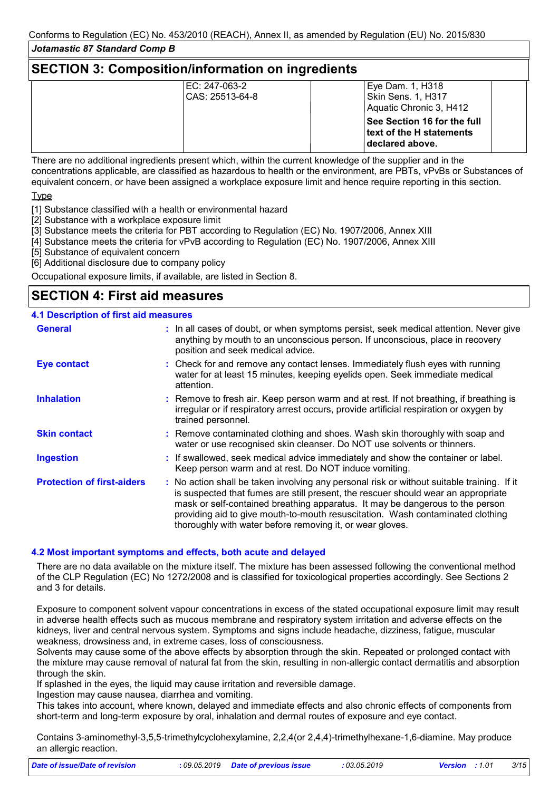### **SECTION 3: Composition/information on ingredients**

| IEC: 247-063-2 | Eye Dam. 1, H318<br>Skin Sens. 1, H317<br>CAS: 25513-64-8<br>Aquatic Chronic 3, H412 |
|----------------|--------------------------------------------------------------------------------------|
|                | <b>See Section 16 for the full</b><br>text of the H statements<br>declared above.    |

There are no additional ingredients present which, within the current knowledge of the supplier and in the concentrations applicable, are classified as hazardous to health or the environment, are PBTs, vPvBs or Substances of equivalent concern, or have been assigned a workplace exposure limit and hence require reporting in this section.

**T**<sub>vpe</sub>

[1] Substance classified with a health or environmental hazard

[2] Substance with a workplace exposure limit

- ...<br>[3] Substance meets the criteria for PBT according to Regulation (EC) No. 1907/2006, Annex XIII
- [4] Substance meets the criteria for vPvB according to Regulation (EC) No. 1907/2006, Annex XIII

[5] Substance of equivalent concern

[6] Additional disclosure due to company policy

Occupational exposure limits, if available, are listed in Section 8.

### **SECTION 4: First aid measures**

#### **4.1 Description of first aid measures**

| <b>General</b>                    | : In all cases of doubt, or when symptoms persist, seek medical attention. Never give<br>anything by mouth to an unconscious person. If unconscious, place in recovery<br>position and seek medical advice.                                                                                                                                                                                                     |
|-----------------------------------|-----------------------------------------------------------------------------------------------------------------------------------------------------------------------------------------------------------------------------------------------------------------------------------------------------------------------------------------------------------------------------------------------------------------|
| <b>Eye contact</b>                | : Check for and remove any contact lenses. Immediately flush eyes with running<br>water for at least 15 minutes, keeping eyelids open. Seek immediate medical<br>attention.                                                                                                                                                                                                                                     |
| <b>Inhalation</b>                 | : Remove to fresh air. Keep person warm and at rest. If not breathing, if breathing is<br>irregular or if respiratory arrest occurs, provide artificial respiration or oxygen by<br>trained personnel.                                                                                                                                                                                                          |
| <b>Skin contact</b>               | : Remove contaminated clothing and shoes. Wash skin thoroughly with soap and<br>water or use recognised skin cleanser. Do NOT use solvents or thinners.                                                                                                                                                                                                                                                         |
| <b>Ingestion</b>                  | : If swallowed, seek medical advice immediately and show the container or label.<br>Keep person warm and at rest. Do NOT induce vomiting.                                                                                                                                                                                                                                                                       |
| <b>Protection of first-aiders</b> | : No action shall be taken involving any personal risk or without suitable training. If it<br>is suspected that fumes are still present, the rescuer should wear an appropriate<br>mask or self-contained breathing apparatus. It may be dangerous to the person<br>providing aid to give mouth-to-mouth resuscitation. Wash contaminated clothing<br>thoroughly with water before removing it, or wear gloves. |

#### **4.2 Most important symptoms and effects, both acute and delayed**

There are no data available on the mixture itself. The mixture has been assessed following the conventional method of the CLP Regulation (EC) No 1272/2008 and is classified for toxicological properties accordingly. See Sections 2 and 3 for details.

Exposure to component solvent vapour concentrations in excess of the stated occupational exposure limit may result in adverse health effects such as mucous membrane and respiratory system irritation and adverse effects on the kidneys, liver and central nervous system. Symptoms and signs include headache, dizziness, fatigue, muscular weakness, drowsiness and, in extreme cases, loss of consciousness.

Solvents may cause some of the above effects by absorption through the skin. Repeated or prolonged contact with the mixture may cause removal of natural fat from the skin, resulting in non-allergic contact dermatitis and absorption through the skin.

If splashed in the eyes, the liquid may cause irritation and reversible damage.

Ingestion may cause nausea, diarrhea and vomiting.

This takes into account, where known, delayed and immediate effects and also chronic effects of components from short-term and long-term exposure by oral, inhalation and dermal routes of exposure and eye contact.

Contains 3-aminomethyl-3,5,5-trimethylcyclohexylamine, 2,2,4(or 2,4,4)-trimethylhexane-1,6-diamine. May produce an allergic reaction.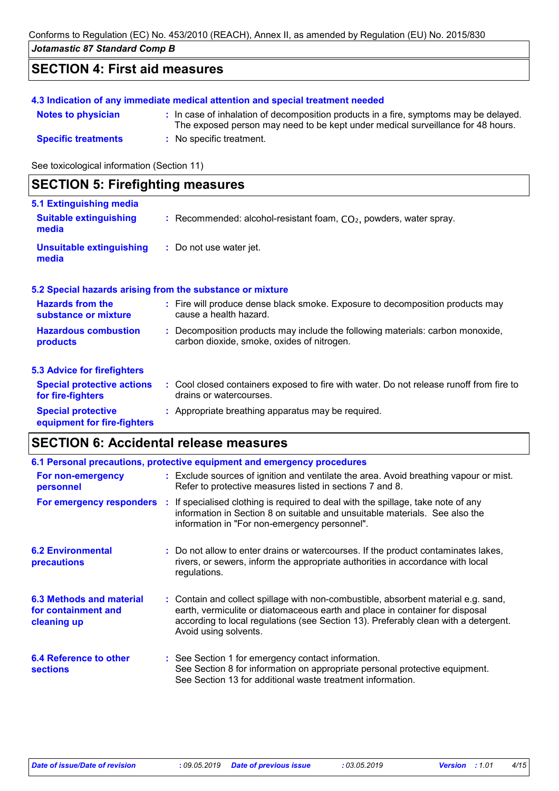# **SECTION 4: First aid measures**

| 4.3 Indication of any immediate medical attention and special treatment needed |                                                                                                                                                                          |  |  |  |
|--------------------------------------------------------------------------------|--------------------------------------------------------------------------------------------------------------------------------------------------------------------------|--|--|--|
| <b>Notes to physician</b>                                                      | : In case of inhalation of decomposition products in a fire, symptoms may be delayed.<br>The exposed person may need to be kept under medical surveillance for 48 hours. |  |  |  |
| <b>Specific treatments</b>                                                     | : No specific treatment.                                                                                                                                                 |  |  |  |

See toxicological information (Section 11)

| <b>SECTION 5: Firefighting measures</b>                           |                                                                                                                              |
|-------------------------------------------------------------------|------------------------------------------------------------------------------------------------------------------------------|
| 5.1 Extinguishing media<br><b>Suitable extinguishing</b><br>media | : Recommended: alcohol-resistant foam, $CO2$ , powders, water spray.                                                         |
| <b>Unsuitable extinguishing</b><br>media                          | : Do not use water jet.                                                                                                      |
|                                                                   | 5.2 Special hazards arising from the substance or mixture                                                                    |
| <b>Hazards from the</b><br>substance or mixture                   | : Fire will produce dense black smoke. Exposure to decomposition products may<br>cause a health hazard.                      |
| <b>Hazardous combustion</b><br>products                           | : Decomposition products may include the following materials: carbon monoxide,<br>carbon dioxide, smoke, oxides of nitrogen. |
| <b>5.3 Advice for firefighters</b>                                |                                                                                                                              |
| <b>Special protective actions</b><br>for fire-fighters            | : Cool closed containers exposed to fire with water. Do not release runoff from fire to<br>drains or watercourses.           |
| <b>Special protective</b><br>equipment for fire-fighters          | : Appropriate breathing apparatus may be required.                                                                           |

# **SECTION 6: Accidental release measures**

| 6.1 Personal precautions, protective equipment and emergency procedures |  |                                                                                                                                                                                                                                                                                    |  |  |
|-------------------------------------------------------------------------|--|------------------------------------------------------------------------------------------------------------------------------------------------------------------------------------------------------------------------------------------------------------------------------------|--|--|
| For non-emergency<br>personnel                                          |  | : Exclude sources of ignition and ventilate the area. Avoid breathing vapour or mist.<br>Refer to protective measures listed in sections 7 and 8.                                                                                                                                  |  |  |
| For emergency responders :                                              |  | If specialised clothing is required to deal with the spillage, take note of any<br>information in Section 8 on suitable and unsuitable materials. See also the<br>information in "For non-emergency personnel".                                                                    |  |  |
| <b>6.2 Environmental</b><br>precautions                                 |  | : Do not allow to enter drains or watercourses. If the product contaminates lakes,<br>rivers, or sewers, inform the appropriate authorities in accordance with local<br>regulations.                                                                                               |  |  |
| 6.3 Methods and material<br>for containment and<br>cleaning up          |  | : Contain and collect spillage with non-combustible, absorbent material e.g. sand,<br>earth, vermiculite or diatomaceous earth and place in container for disposal<br>according to local regulations (see Section 13). Preferably clean with a detergent.<br>Avoid using solvents. |  |  |
| 6.4 Reference to other<br><b>sections</b>                               |  | : See Section 1 for emergency contact information.<br>See Section 8 for information on appropriate personal protective equipment.<br>See Section 13 for additional waste treatment information.                                                                                    |  |  |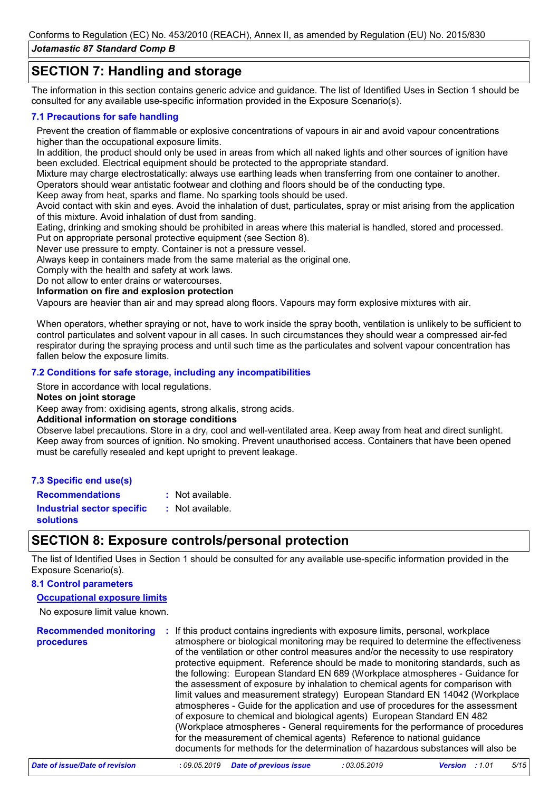# **SECTION 7: Handling and storage**

The information in this section contains generic advice and guidance. The list of Identified Uses in Section 1 should be consulted for any available use-specific information provided in the Exposure Scenario(s).

#### **7.1 Precautions for safe handling**

Prevent the creation of flammable or explosive concentrations of vapours in air and avoid vapour concentrations higher than the occupational exposure limits.

In addition, the product should only be used in areas from which all naked lights and other sources of ignition have been excluded. Electrical equipment should be protected to the appropriate standard.

Mixture may charge electrostatically: always use earthing leads when transferring from one container to another. Operators should wear antistatic footwear and clothing and floors should be of the conducting type.

Keep away from heat, sparks and flame. No sparking tools should be used.

Avoid contact with skin and eyes. Avoid the inhalation of dust, particulates, spray or mist arising from the application of this mixture. Avoid inhalation of dust from sanding.

Eating, drinking and smoking should be prohibited in areas where this material is handled, stored and processed.

Put on appropriate personal protective equipment (see Section 8).

Never use pressure to empty. Container is not a pressure vessel.

Always keep in containers made from the same material as the original one.

Comply with the health and safety at work laws.

Do not allow to enter drains or watercourses.

**Information on fire and explosion protection**

Vapours are heavier than air and may spread along floors. Vapours may form explosive mixtures with air.

When operators, whether spraying or not, have to work inside the spray booth, ventilation is unlikely to be sufficient to control particulates and solvent vapour in all cases. In such circumstances they should wear a compressed air-fed respirator during the spraying process and until such time as the particulates and solvent vapour concentration has fallen below the exposure limits.

#### **7.2 Conditions for safe storage, including any incompatibilities**

Store in accordance with local regulations.

#### **Notes on joint storage**

Keep away from: oxidising agents, strong alkalis, strong acids.

#### **Additional information on storage conditions**

Observe label precautions. Store in a dry, cool and well-ventilated area. Keep away from heat and direct sunlight. Keep away from sources of ignition. No smoking. Prevent unauthorised access. Containers that have been opened must be carefully resealed and kept upright to prevent leakage.

#### **7.3 Specific end use(s)**

**Recommendations :** : Not available.

**Industrial sector specific : solutions** : Not available.

## **SECTION 8: Exposure controls/personal protection**

The list of Identified Uses in Section 1 should be consulted for any available use-specific information provided in the Exposure Scenario(s).

#### **8.1 Control parameters**

#### **Occupational exposure limits**

No exposure limit value known.

**Recommended monitoring procedures :** If this product contains ingredients with exposure limits, personal, workplace atmosphere or biological monitoring may be required to determine the effectiveness of the ventilation or other control measures and/or the necessity to use respiratory protective equipment. Reference should be made to monitoring standards, such as the following: European Standard EN 689 (Workplace atmospheres - Guidance for the assessment of exposure by inhalation to chemical agents for comparison with limit values and measurement strategy) European Standard EN 14042 (Workplace atmospheres - Guide for the application and use of procedures for the assessment of exposure to chemical and biological agents) European Standard EN 482 (Workplace atmospheres - General requirements for the performance of procedures for the measurement of chemical agents) Reference to national guidance documents for methods for the determination of hazardous substances will also be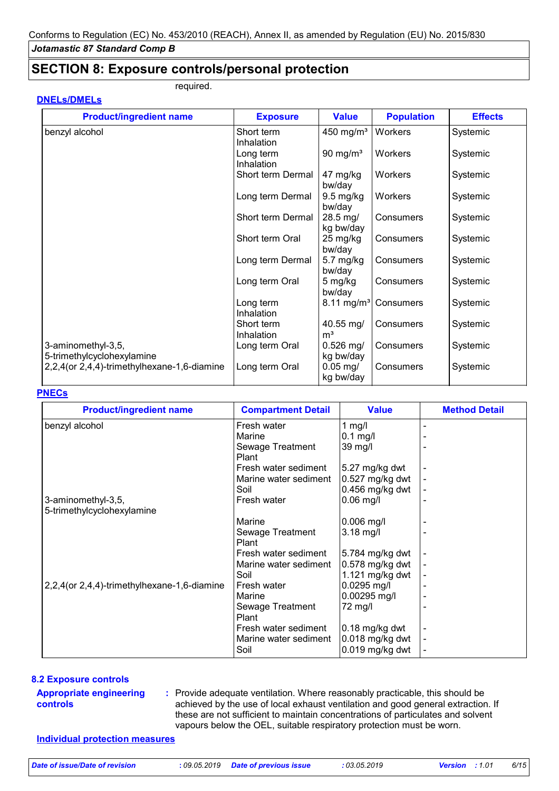**DNELs/DMELs**

### **SECTION 8: Exposure controls/personal protection**

required.

| <b>Product/ingredient name</b>               | <b>Exposure</b>   | <b>Value</b>          | <b>Population</b> | <b>Effects</b> |
|----------------------------------------------|-------------------|-----------------------|-------------------|----------------|
| benzyl alcohol                               | Short term        | 450 mg/m <sup>3</sup> | Workers           | Systemic       |
|                                              | Inhalation        |                       |                   |                |
|                                              | Long term         | 90 mg/ $m3$           | Workers           | Systemic       |
|                                              | Inhalation        |                       |                   |                |
|                                              | Short term Dermal | 47 mg/kg              | Workers           | Systemic       |
|                                              |                   | bw/day                |                   |                |
|                                              | Long term Dermal  | $9.5 \text{ mg/kg}$   | Workers           | Systemic       |
|                                              |                   | bw/day                |                   |                |
|                                              | Short term Dermal | 28.5 mg/              | Consumers         | Systemic       |
|                                              |                   | kg bw/day             |                   |                |
|                                              | Short term Oral   | 25 mg/kg              | Consumers         | Systemic       |
|                                              |                   | bw/day                |                   |                |
|                                              | Long term Dermal  | $5.7$ mg/kg           | Consumers         | Systemic       |
|                                              |                   | bw/day                |                   |                |
|                                              | Long term Oral    | 5 mg/kg               | Consumers         | Systemic       |
|                                              |                   | bw/day                |                   |                |
|                                              | Long term         | $8.11 \text{ mg/m}^3$ | Consumers         | Systemic       |
|                                              | Inhalation        |                       |                   |                |
|                                              | Short term        | $40.55 \,\mathrm{mg}$ | Consumers         | Systemic       |
|                                              | Inhalation        | m <sup>3</sup>        |                   |                |
| 3-aminomethyl-3,5,                           | Long term Oral    | $0.526$ mg/           | Consumers         | Systemic       |
| 5-trimethylcyclohexylamine                   |                   | kg bw/day             |                   |                |
| 2,2,4 (or 2,4,4)-trimethylhexane-1,6-diamine | Long term Oral    | $0.05$ mg/            | Consumers         | Systemic       |
|                                              |                   | kg bw/day             |                   |                |

#### **PNECs**

| <b>Product/ingredient name</b>               | <b>Compartment Detail</b> | <b>Value</b>          | <b>Method Detail</b> |
|----------------------------------------------|---------------------------|-----------------------|----------------------|
| benzyl alcohol                               | Fresh water               | 1 $mg/l$              |                      |
|                                              | Marine                    | $0.1$ mg/l            |                      |
|                                              | Sewage Treatment<br>Plant | 39 mg/l               |                      |
|                                              | Fresh water sediment      | 5.27 mg/kg dwt        |                      |
|                                              | Marine water sediment     | $0.527$ mg/kg dwt     |                      |
|                                              | Soil                      | 0.456 mg/kg dwt       |                      |
| 3-aminomethyl-3,5,                           | Fresh water               | $ 0.06 \text{ mg}/I $ |                      |
| 5-trimethylcyclohexylamine                   |                           |                       |                      |
|                                              | Marine                    | $ 0.006 \text{ mg/}$  |                      |
|                                              | Sewage Treatment          | $3.18$ mg/l           |                      |
|                                              | Plant                     |                       |                      |
|                                              | Fresh water sediment      | 5.784 mg/kg dwt       |                      |
|                                              | Marine water sediment     | 0.578 mg/kg dwt       |                      |
|                                              | Soil                      | 1.121 mg/kg dwt       |                      |
| 2,2,4 (or 2,4,4)-trimethylhexane-1,6-diamine | Fresh water               | 0.0295 mg/l           |                      |
|                                              | Marine                    | 0.00295 mg/l          |                      |
|                                              | Sewage Treatment          | $72 \text{ mg/l}$     |                      |
|                                              | Plant                     |                       |                      |
|                                              | Fresh water sediment      | 0.18 mg/kg dwt        |                      |
|                                              | Marine water sediment     | 0.018 mg/kg dwt       |                      |
|                                              | Soil                      | 0.019 mg/kg dwt       |                      |

#### **8.2 Exposure controls**

#### **Appropriate engineering controls**

Provide adequate ventilation. Where reasonably practicable, this should be **:** achieved by the use of local exhaust ventilation and good general extraction. If these are not sufficient to maintain concentrations of particulates and solvent vapours below the OEL, suitable respiratory protection must be worn.

#### **Individual protection measures**

*Date of issue/Date of revision* **:** *09.05.2019 Date of previous issue : 03.05.2019 Version : 1.01 6/15*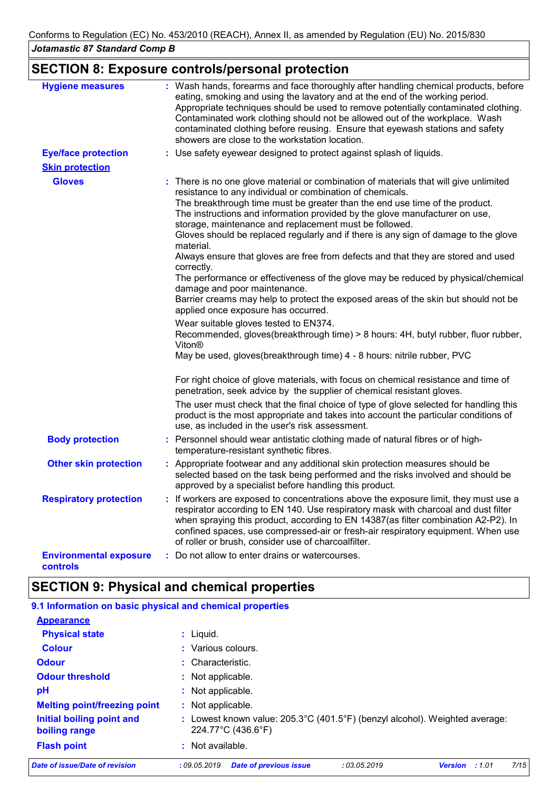# **SECTION 8: Exposure controls/personal protection**

| <b>Hygiene measures</b>                   | : Wash hands, forearms and face thoroughly after handling chemical products, before<br>eating, smoking and using the lavatory and at the end of the working period.<br>Appropriate techniques should be used to remove potentially contaminated clothing.<br>Contaminated work clothing should not be allowed out of the workplace. Wash<br>contaminated clothing before reusing. Ensure that eyewash stations and safety<br>showers are close to the workstation location.                                                                                                                                                                                                                                                                                                                                                                                                                                                                                                                                                                                         |
|-------------------------------------------|---------------------------------------------------------------------------------------------------------------------------------------------------------------------------------------------------------------------------------------------------------------------------------------------------------------------------------------------------------------------------------------------------------------------------------------------------------------------------------------------------------------------------------------------------------------------------------------------------------------------------------------------------------------------------------------------------------------------------------------------------------------------------------------------------------------------------------------------------------------------------------------------------------------------------------------------------------------------------------------------------------------------------------------------------------------------|
| <b>Eye/face protection</b>                | : Use safety eyewear designed to protect against splash of liquids.                                                                                                                                                                                                                                                                                                                                                                                                                                                                                                                                                                                                                                                                                                                                                                                                                                                                                                                                                                                                 |
| <b>Skin protection</b>                    |                                                                                                                                                                                                                                                                                                                                                                                                                                                                                                                                                                                                                                                                                                                                                                                                                                                                                                                                                                                                                                                                     |
| <b>Gloves</b>                             | : There is no one glove material or combination of materials that will give unlimited<br>resistance to any individual or combination of chemicals.<br>The breakthrough time must be greater than the end use time of the product.<br>The instructions and information provided by the glove manufacturer on use,<br>storage, maintenance and replacement must be followed.<br>Gloves should be replaced regularly and if there is any sign of damage to the glove<br>material.<br>Always ensure that gloves are free from defects and that they are stored and used<br>correctly.<br>The performance or effectiveness of the glove may be reduced by physical/chemical<br>damage and poor maintenance.<br>Barrier creams may help to protect the exposed areas of the skin but should not be<br>applied once exposure has occurred.<br>Wear suitable gloves tested to EN374.<br>Recommended, gloves(breakthrough time) > 8 hours: 4H, butyl rubber, fluor rubber,<br>Viton <sup>®</sup><br>May be used, gloves (breakthrough time) 4 - 8 hours: nitrile rubber, PVC |
|                                           | For right choice of glove materials, with focus on chemical resistance and time of<br>penetration, seek advice by the supplier of chemical resistant gloves.                                                                                                                                                                                                                                                                                                                                                                                                                                                                                                                                                                                                                                                                                                                                                                                                                                                                                                        |
|                                           | The user must check that the final choice of type of glove selected for handling this<br>product is the most appropriate and takes into account the particular conditions of<br>use, as included in the user's risk assessment.                                                                                                                                                                                                                                                                                                                                                                                                                                                                                                                                                                                                                                                                                                                                                                                                                                     |
| <b>Body protection</b>                    | : Personnel should wear antistatic clothing made of natural fibres or of high-<br>temperature-resistant synthetic fibres.                                                                                                                                                                                                                                                                                                                                                                                                                                                                                                                                                                                                                                                                                                                                                                                                                                                                                                                                           |
| <b>Other skin protection</b>              | : Appropriate footwear and any additional skin protection measures should be<br>selected based on the task being performed and the risks involved and should be<br>approved by a specialist before handling this product.                                                                                                                                                                                                                                                                                                                                                                                                                                                                                                                                                                                                                                                                                                                                                                                                                                           |
| <b>Respiratory protection</b>             | : If workers are exposed to concentrations above the exposure limit, they must use a<br>respirator according to EN 140. Use respiratory mask with charcoal and dust filter<br>when spraying this product, according to EN 14387(as filter combination A2-P2). In<br>confined spaces, use compressed-air or fresh-air respiratory equipment. When use<br>of roller or brush, consider use of charcoalfilter.                                                                                                                                                                                                                                                                                                                                                                                                                                                                                                                                                                                                                                                         |
| <b>Environmental exposure</b><br>controls | : Do not allow to enter drains or watercourses.                                                                                                                                                                                                                                                                                                                                                                                                                                                                                                                                                                                                                                                                                                                                                                                                                                                                                                                                                                                                                     |

# **SECTION 9: Physical and chemical properties**

| 9.1 Information on basic physical and chemical properties |                                        |                                                                             |              |                |       |      |  |  |
|-----------------------------------------------------------|----------------------------------------|-----------------------------------------------------------------------------|--------------|----------------|-------|------|--|--|
| <b>Appearance</b>                                         |                                        |                                                                             |              |                |       |      |  |  |
| <b>Physical state</b>                                     | $:$ Liquid.                            |                                                                             |              |                |       |      |  |  |
| <b>Colour</b>                                             | : Various colours.                     |                                                                             |              |                |       |      |  |  |
| <b>Odour</b>                                              | $:$ Characteristic.                    |                                                                             |              |                |       |      |  |  |
| <b>Odour threshold</b>                                    | : Not applicable.                      |                                                                             |              |                |       |      |  |  |
| рH                                                        | : Not applicable.<br>: Not applicable. |                                                                             |              |                |       |      |  |  |
| <b>Melting point/freezing point</b>                       |                                        |                                                                             |              |                |       |      |  |  |
| Initial boiling point and<br>boiling range                | 224.77°C (436.6°F)                     | : Lowest known value: 205.3°C (401.5°F) (benzyl alcohol). Weighted average: |              |                |       |      |  |  |
| <b>Flash point</b>                                        | $:$ Not available.                     |                                                                             |              |                |       |      |  |  |
| <b>Date of issue/Date of revision</b>                     | :09.05.2019                            | <b>Date of previous issue</b>                                               | : 03.05.2019 | <b>Version</b> | :1.01 | 7/15 |  |  |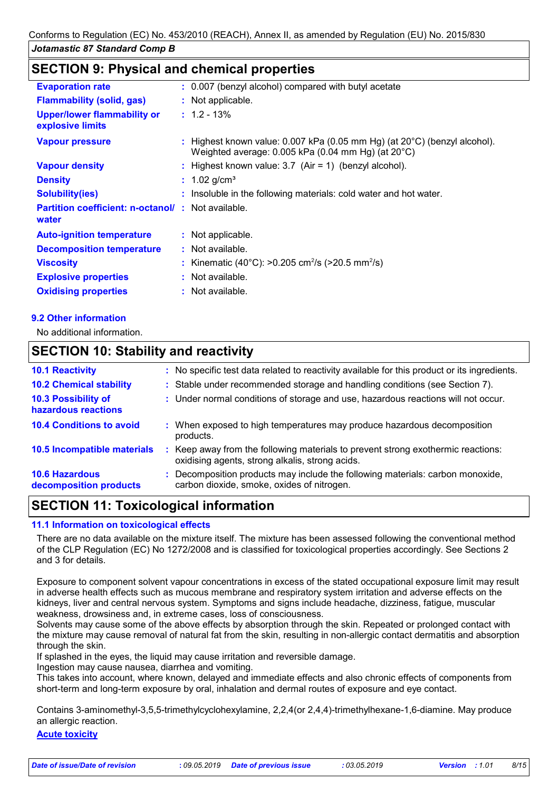## **SECTION 9: Physical and chemical properties**

| <b>Evaporation rate</b>                                           | : 0.007 (benzyl alcohol) compared with butyl acetate                                                                                        |
|-------------------------------------------------------------------|---------------------------------------------------------------------------------------------------------------------------------------------|
| <b>Flammability (solid, gas)</b>                                  | : Not applicable.                                                                                                                           |
| Upper/lower flammability or<br>explosive limits                   | $: 1.2 - 13\%$                                                                                                                              |
| <b>Vapour pressure</b>                                            | : Highest known value: $0.007$ kPa (0.05 mm Hg) (at $20^{\circ}$ C) (benzyl alcohol).<br>Weighted average: 0.005 kPa (0.04 mm Hg) (at 20°C) |
| <b>Vapour density</b>                                             | : Highest known value: $3.7$ (Air = 1) (benzyl alcohol).                                                                                    |
| <b>Density</b>                                                    | : $1.02$ g/cm <sup>3</sup>                                                                                                                  |
| <b>Solubility(ies)</b>                                            | : Insoluble in the following materials: cold water and hot water.                                                                           |
| <b>Partition coefficient: n-octanol/: Not available.</b><br>water |                                                                                                                                             |
| <b>Auto-ignition temperature</b>                                  | : Not applicable.                                                                                                                           |
| <b>Decomposition temperature</b>                                  | : Not available.                                                                                                                            |
| <b>Viscosity</b>                                                  | : Kinematic (40°C): >0.205 cm <sup>2</sup> /s (>20.5 mm <sup>2</sup> /s)                                                                    |
| <b>Explosive properties</b>                                       | : Not available.                                                                                                                            |
| <b>Oxidising properties</b>                                       | : Not available.                                                                                                                            |

#### **9.2 Other information**

No additional information.

### **SECTION 10: Stability and reactivity**

|    | : No specific test data related to reactivity available for this product or its ingredients.                                      |
|----|-----------------------------------------------------------------------------------------------------------------------------------|
|    | : Stable under recommended storage and handling conditions (see Section 7).                                                       |
|    | : Under normal conditions of storage and use, hazardous reactions will not occur.                                                 |
|    | : When exposed to high temperatures may produce hazardous decomposition<br>products.                                              |
| ÷. | Keep away from the following materials to prevent strong exothermic reactions:<br>oxidising agents, strong alkalis, strong acids. |
|    | : Decomposition products may include the following materials: carbon monoxide,<br>carbon dioxide, smoke, oxides of nitrogen.      |
|    |                                                                                                                                   |

### **SECTION 11: Toxicological information**

#### **11.1 Information on toxicological effects**

There are no data available on the mixture itself. The mixture has been assessed following the conventional method of the CLP Regulation (EC) No 1272/2008 and is classified for toxicological properties accordingly. See Sections 2 and 3 for details.

Exposure to component solvent vapour concentrations in excess of the stated occupational exposure limit may result in adverse health effects such as mucous membrane and respiratory system irritation and adverse effects on the kidneys, liver and central nervous system. Symptoms and signs include headache, dizziness, fatigue, muscular weakness, drowsiness and, in extreme cases, loss of consciousness.

Solvents may cause some of the above effects by absorption through the skin. Repeated or prolonged contact with the mixture may cause removal of natural fat from the skin, resulting in non-allergic contact dermatitis and absorption through the skin.

If splashed in the eyes, the liquid may cause irritation and reversible damage.

Ingestion may cause nausea, diarrhea and vomiting.

This takes into account, where known, delayed and immediate effects and also chronic effects of components from short-term and long-term exposure by oral, inhalation and dermal routes of exposure and eye contact.

Contains 3-aminomethyl-3,5,5-trimethylcyclohexylamine, 2,2,4(or 2,4,4)-trimethylhexane-1,6-diamine. May produce an allergic reaction.

#### **Acute toxicity**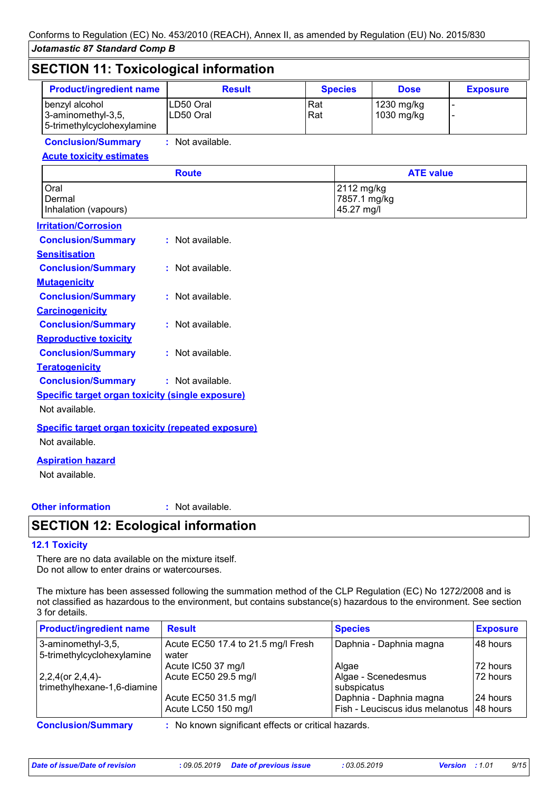| <b>Product/ingredient name</b>                                     | <b>Result</b>          |            | <b>Species</b>                           | <b>Dose</b>              | <b>Exposure</b> |
|--------------------------------------------------------------------|------------------------|------------|------------------------------------------|--------------------------|-----------------|
| benzyl alcohol<br>3-aminomethyl-3,5,<br>5-trimethylcyclohexylamine | LD50 Oral<br>LD50 Oral | Rat<br>Rat |                                          | 1230 mg/kg<br>1030 mg/kg |                 |
| <b>Conclusion/Summary</b>                                          | : Not available.       |            |                                          |                          |                 |
| <b>Acute toxicity estimates</b>                                    |                        |            |                                          |                          |                 |
|                                                                    | <b>Route</b>           |            |                                          | <b>ATE value</b>         |                 |
| Oral<br>Dermal<br>Inhalation (vapours)                             |                        |            | 2112 mg/kg<br>7857.1 mg/kg<br>45.27 mg/l |                          |                 |
| <b>Irritation/Corrosion</b>                                        |                        |            |                                          |                          |                 |
| <b>Conclusion/Summary</b>                                          | : Not available.       |            |                                          |                          |                 |
| <b>Sensitisation</b>                                               |                        |            |                                          |                          |                 |
| <b>Conclusion/Summary</b>                                          | : Not available.       |            |                                          |                          |                 |
| <b>Mutagenicity</b>                                                |                        |            |                                          |                          |                 |
| <b>Conclusion/Summary</b>                                          | : Not available.       |            |                                          |                          |                 |
| <b>Carcinogenicity</b>                                             |                        |            |                                          |                          |                 |
| <b>Conclusion/Summary</b>                                          | : Not available.       |            |                                          |                          |                 |
| <b>Reproductive toxicity</b>                                       |                        |            |                                          |                          |                 |
| <b>Conclusion/Summary</b>                                          | : Not available.       |            |                                          |                          |                 |
| <b>Teratogenicity</b>                                              |                        |            |                                          |                          |                 |
| <b>Conclusion/Summary</b>                                          | : Not available.       |            |                                          |                          |                 |
| <b>Specific target organ toxicity (single exposure)</b>            |                        |            |                                          |                          |                 |
| Not available.                                                     |                        |            |                                          |                          |                 |
| <b>Specific target organ toxicity (repeated exposure)</b>          |                        |            |                                          |                          |                 |
| Not available.                                                     |                        |            |                                          |                          |                 |
| <b>Aspiration hazard</b>                                           |                        |            |                                          |                          |                 |
| Not available.                                                     |                        |            |                                          |                          |                 |

#### **Other information :**

: Not available.

# **SECTION 12: Ecological information**

#### **12.1 Toxicity**

There are no data available on the mixture itself. Do not allow to enter drains or watercourses.

The mixture has been assessed following the summation method of the CLP Regulation (EC) No 1272/2008 and is not classified as hazardous to the environment, but contains substance(s) hazardous to the environment. See section 3 for details.

| <b>Product/ingredient name</b>                      | <b>Result</b>                                       | <b>Species</b>                  | <b>Exposure</b> |
|-----------------------------------------------------|-----------------------------------------------------|---------------------------------|-----------------|
| $3$ -aminomethyl-3,5,<br>5-trimethylcyclohexylamine | Acute EC50 17.4 to 21.5 mg/l Fresh<br>water         | Daphnia - Daphnia magna         | 48 hours        |
|                                                     | Acute IC50 37 mg/l                                  | Algae                           | 72 hours        |
| $2,2,4$ (or 2,4,4)-                                 | Acute EC50 29.5 mg/l                                | Algae - Scenedesmus             | 72 hours        |
| trimethylhexane-1,6-diamine                         |                                                     | subspicatus                     |                 |
|                                                     | Acute EC50 31.5 mg/l                                | Daphnia - Daphnia magna         | 24 hours        |
|                                                     | Acute LC50 150 mg/l                                 | Fish - Leuciscus idus melanotus | 48 hours        |
| <b>Conclusion/Summary</b>                           | : No known significant effects or critical hazards. |                                 |                 |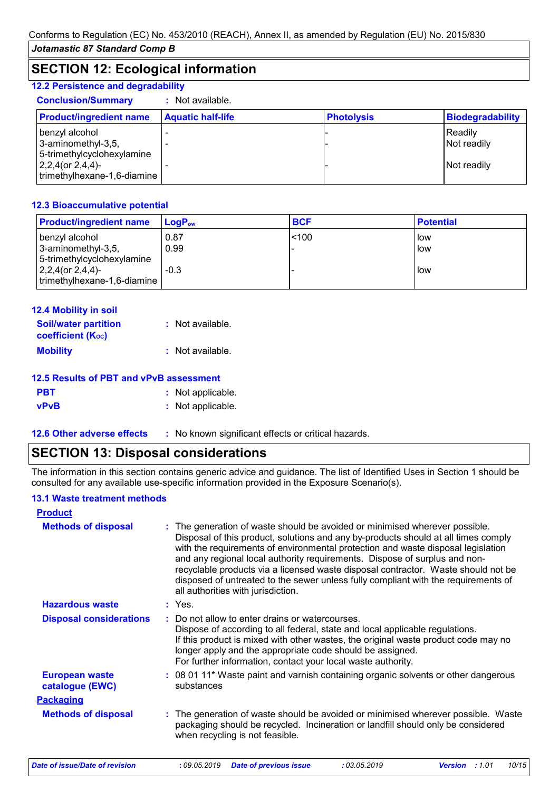# **SECTION 12: Ecological information**

#### **12.2 Persistence and degradability**

| <b>Conclusion/Summary</b>                                                            | : Not available.         |                   |                         |
|--------------------------------------------------------------------------------------|--------------------------|-------------------|-------------------------|
| <b>Product/ingredient name</b>                                                       | <b>Aquatic half-life</b> | <b>Photolysis</b> | <b>Biodegradability</b> |
| benzyl alcohol<br>3-aminomethyl-3,5,                                                 |                          |                   | Readily<br>Not readily  |
| 5-trimethylcyclohexylamine<br>$ 2,2,4$ (or $2,4,4$ )-<br>trimethylhexane-1,6-diamine |                          |                   | Not readily             |

#### **12.3 Bioaccumulative potential**

| <b>Product/ingredient name</b> | $LoaPow$ | <b>BCF</b> | <b>Potential</b> |
|--------------------------------|----------|------------|------------------|
| benzyl alcohol                 | 0.87     | < 100      | How              |
| 3-aminomethyl-3,5,             | 0.99     |            | llow             |
| 5-trimethylcyclohexylamine     |          |            |                  |
| $ 2,2,4$ (or $2,4,4$ )-        | $-0.3$   |            | low              |
| trimethylhexane-1,6-diamine    |          |            |                  |

| 12.4 Mobility in soil                                         |                  |
|---------------------------------------------------------------|------------------|
| <b>Soil/water partition</b><br>coefficient (K <sub>oc</sub> ) | : Not available. |
| <b>Mobility</b>                                               | : Not available. |

| 12.5 Results of PBT and vPvB assessment |                   |  |  |
|-----------------------------------------|-------------------|--|--|
| <b>PBT</b>                              | : Not applicable. |  |  |
| <b>vPvB</b>                             | : Not applicable. |  |  |

**12.6 Other adverse effects** : No known significant effects or critical hazards.

# **SECTION 13: Disposal considerations**

The information in this section contains generic advice and guidance. The list of Identified Uses in Section 1 should be consulted for any available use-specific information provided in the Exposure Scenario(s).

#### **13.1 Waste treatment methods**

| <b>Product</b>                           |                                                                                                                                                                                                                                                                                                                                                                                                                                                                                                                                                      |
|------------------------------------------|------------------------------------------------------------------------------------------------------------------------------------------------------------------------------------------------------------------------------------------------------------------------------------------------------------------------------------------------------------------------------------------------------------------------------------------------------------------------------------------------------------------------------------------------------|
| <b>Methods of disposal</b>               | : The generation of waste should be avoided or minimised wherever possible.<br>Disposal of this product, solutions and any by-products should at all times comply<br>with the requirements of environmental protection and waste disposal legislation<br>and any regional local authority requirements. Dispose of surplus and non-<br>recyclable products via a licensed waste disposal contractor. Waste should not be<br>disposed of untreated to the sewer unless fully compliant with the requirements of<br>all authorities with jurisdiction. |
| <b>Hazardous waste</b>                   | : Yes.                                                                                                                                                                                                                                                                                                                                                                                                                                                                                                                                               |
| <b>Disposal considerations</b>           | : Do not allow to enter drains or watercourses.<br>Dispose of according to all federal, state and local applicable regulations.<br>If this product is mixed with other wastes, the original waste product code may no<br>longer apply and the appropriate code should be assigned.<br>For further information, contact your local waste authority.                                                                                                                                                                                                   |
| <b>European waste</b><br>catalogue (EWC) | : 08 01 11* Waste paint and varnish containing organic solvents or other dangerous<br>substances                                                                                                                                                                                                                                                                                                                                                                                                                                                     |
| <b>Packaging</b>                         |                                                                                                                                                                                                                                                                                                                                                                                                                                                                                                                                                      |
| <b>Methods of disposal</b>               | : The generation of waste should be avoided or minimised wherever possible. Waste<br>packaging should be recycled. Incineration or landfill should only be considered<br>when recycling is not feasible.                                                                                                                                                                                                                                                                                                                                             |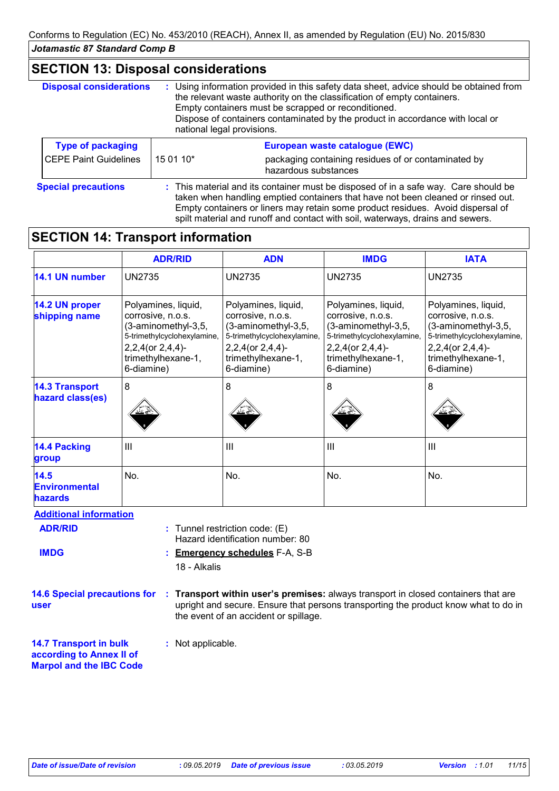### **SECTION 13: Disposal considerations**

| <b>Disposal considerations</b> | national legal provisions.                                                                                                                                                                                                                                 | : Using information provided in this safety data sheet, advice should be obtained from<br>the relevant waste authority on the classification of empty containers.<br>Empty containers must be scrapped or reconditioned.<br>Dispose of containers contaminated by the product in accordance with local or |
|--------------------------------|------------------------------------------------------------------------------------------------------------------------------------------------------------------------------------------------------------------------------------------------------------|-----------------------------------------------------------------------------------------------------------------------------------------------------------------------------------------------------------------------------------------------------------------------------------------------------------|
| <b>Type of packaging</b>       |                                                                                                                                                                                                                                                            | European waste catalogue (EWC)                                                                                                                                                                                                                                                                            |
| <b>CEPE Paint Guidelines</b>   | 15 01 10*                                                                                                                                                                                                                                                  | packaging containing residues of or contaminated by<br>hazardous substances                                                                                                                                                                                                                               |
| <b>Special precautions</b>     | : This material and its container must be disposed of in a safe way. Care should be<br>taken when handling emptied containers that have not been cleaned or rinsed out.<br>Empty containers or liners may retain some product residues. Avoid dispersal of |                                                                                                                                                                                                                                                                                                           |

spilt material and runoff and contact with soil, waterways, drains and sewers.

# **SECTION 14: Transport information**

|                                           | <b>ADR/RID</b>                                                                                                                                               | <b>ADN</b>                                                                                                                                                   | <b>IMDG</b>                                                                                                                                                  | <b>IATA</b>                                                                                                                                                  |  |
|-------------------------------------------|--------------------------------------------------------------------------------------------------------------------------------------------------------------|--------------------------------------------------------------------------------------------------------------------------------------------------------------|--------------------------------------------------------------------------------------------------------------------------------------------------------------|--------------------------------------------------------------------------------------------------------------------------------------------------------------|--|
| 14.1 UN number                            | <b>UN2735</b>                                                                                                                                                | <b>UN2735</b>                                                                                                                                                | <b>UN2735</b>                                                                                                                                                | <b>UN2735</b>                                                                                                                                                |  |
| 14.2 UN proper<br>shipping name           | Polyamines, liquid,<br>corrosive, n.o.s.<br>(3-aminomethyl-3,5,<br>5-trimethylcyclohexylamine,<br>$2,2,4$ (or $2,4,4$ )-<br>trimethylhexane-1,<br>6-diamine) | Polyamines, liquid,<br>corrosive, n.o.s.<br>(3-aminomethyl-3,5,<br>5-trimethylcyclohexylamine,<br>$2,2,4$ (or $2,4,4$ )-<br>trimethylhexane-1,<br>6-diamine) | Polyamines, liquid,<br>corrosive, n.o.s.<br>(3-aminomethyl-3,5,<br>5-trimethylcyclohexylamine,<br>$2,2,4$ (or $2,4,4$ )-<br>trimethylhexane-1,<br>6-diamine) | Polyamines, liquid,<br>corrosive, n.o.s.<br>(3-aminomethyl-3,5,<br>5-trimethylcyclohexylamine,<br>$2,2,4$ (or $2,4,4$ )-<br>trimethylhexane-1,<br>6-diamine) |  |
| <b>14.3 Transport</b><br>hazard class(es) | 8                                                                                                                                                            | 8                                                                                                                                                            | 8                                                                                                                                                            | 8                                                                                                                                                            |  |
| 14.4 Packing<br>group                     | III                                                                                                                                                          | $\mathbf{III}$                                                                                                                                               | $\mathbf{III}$                                                                                                                                               | III                                                                                                                                                          |  |
| 14.5<br><b>Environmental</b><br>hazards   | No.                                                                                                                                                          | No.                                                                                                                                                          | No.                                                                                                                                                          | No.                                                                                                                                                          |  |
| <b>Additional information</b>             |                                                                                                                                                              |                                                                                                                                                              |                                                                                                                                                              |                                                                                                                                                              |  |
| <b>ADR/RID</b>                            |                                                                                                                                                              | Tunnel restriction code: (E)<br>Hazard identification number: 80                                                                                             |                                                                                                                                                              |                                                                                                                                                              |  |
| <b>IMDG</b>                               |                                                                                                                                                              | <b>Emergency schedules F-A, S-B</b>                                                                                                                          |                                                                                                                                                              |                                                                                                                                                              |  |

18 - Alkalis

**14.6 Special precautions for Transport within user's premises:** always transport in closed containers that are **: user** upright and secure. Ensure that persons transporting the product know what to do in the event of an accident or spillage.

**14.7 Transport in bulk according to Annex II of Marpol and the IBC Code :** Not applicable.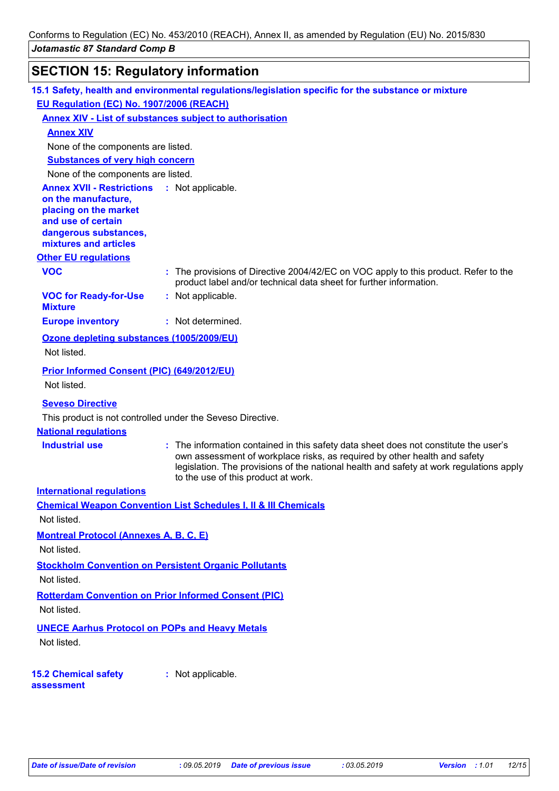# **SECTION 15: Regulatory information**

|                                                                           | 15.1 Safety, health and environmental regulations/legislation specific for the substance or mixture                                                                                                                                                                                                 |
|---------------------------------------------------------------------------|-----------------------------------------------------------------------------------------------------------------------------------------------------------------------------------------------------------------------------------------------------------------------------------------------------|
| EU Regulation (EC) No. 1907/2006 (REACH)                                  |                                                                                                                                                                                                                                                                                                     |
|                                                                           | <b>Annex XIV - List of substances subject to authorisation</b>                                                                                                                                                                                                                                      |
| <b>Annex XIV</b>                                                          |                                                                                                                                                                                                                                                                                                     |
| None of the components are listed.                                        |                                                                                                                                                                                                                                                                                                     |
| <b>Substances of very high concern</b>                                    |                                                                                                                                                                                                                                                                                                     |
| None of the components are listed.                                        |                                                                                                                                                                                                                                                                                                     |
| <b>Annex XVII - Restrictions : Not applicable.</b><br>on the manufacture, |                                                                                                                                                                                                                                                                                                     |
| placing on the market                                                     |                                                                                                                                                                                                                                                                                                     |
| and use of certain                                                        |                                                                                                                                                                                                                                                                                                     |
| dangerous substances,<br>mixtures and articles                            |                                                                                                                                                                                                                                                                                                     |
| <b>Other EU regulations</b>                                               |                                                                                                                                                                                                                                                                                                     |
| <b>VOC</b>                                                                | : The provisions of Directive 2004/42/EC on VOC apply to this product. Refer to the<br>product label and/or technical data sheet for further information.                                                                                                                                           |
| <b>VOC for Ready-for-Use</b><br><b>Mixture</b>                            | : Not applicable.                                                                                                                                                                                                                                                                                   |
| <b>Europe inventory</b>                                                   | : Not determined.                                                                                                                                                                                                                                                                                   |
| Ozone depleting substances (1005/2009/EU)                                 |                                                                                                                                                                                                                                                                                                     |
| Not listed.                                                               |                                                                                                                                                                                                                                                                                                     |
| Prior Informed Consent (PIC) (649/2012/EU)<br>Not listed.                 |                                                                                                                                                                                                                                                                                                     |
| <b>Seveso Directive</b>                                                   |                                                                                                                                                                                                                                                                                                     |
|                                                                           | This product is not controlled under the Seveso Directive.                                                                                                                                                                                                                                          |
| <b>National regulations</b>                                               |                                                                                                                                                                                                                                                                                                     |
| <b>Industrial use</b>                                                     | : The information contained in this safety data sheet does not constitute the user's<br>own assessment of workplace risks, as required by other health and safety<br>legislation. The provisions of the national health and safety at work regulations apply<br>to the use of this product at work. |
| <b>International regulations</b>                                          |                                                                                                                                                                                                                                                                                                     |
|                                                                           | <b>Chemical Weapon Convention List Schedules I, II &amp; III Chemicals</b>                                                                                                                                                                                                                          |
| Not listed.                                                               |                                                                                                                                                                                                                                                                                                     |
| <b>Montreal Protocol (Annexes A, B, C, E)</b>                             |                                                                                                                                                                                                                                                                                                     |
| Not listed.                                                               |                                                                                                                                                                                                                                                                                                     |
|                                                                           | <b>Stockholm Convention on Persistent Organic Pollutants</b>                                                                                                                                                                                                                                        |
| Not listed.                                                               |                                                                                                                                                                                                                                                                                                     |
|                                                                           | <b>Rotterdam Convention on Prior Informed Consent (PIC)</b>                                                                                                                                                                                                                                         |
| Not listed.                                                               |                                                                                                                                                                                                                                                                                                     |
| <b>UNECE Aarhus Protocol on POPs and Heavy Metals</b>                     |                                                                                                                                                                                                                                                                                                     |
| Not listed.                                                               |                                                                                                                                                                                                                                                                                                     |
|                                                                           |                                                                                                                                                                                                                                                                                                     |
| <b>15.2 Chemical safety</b>                                               | : Not applicable.                                                                                                                                                                                                                                                                                   |
| assessment                                                                |                                                                                                                                                                                                                                                                                                     |
|                                                                           |                                                                                                                                                                                                                                                                                                     |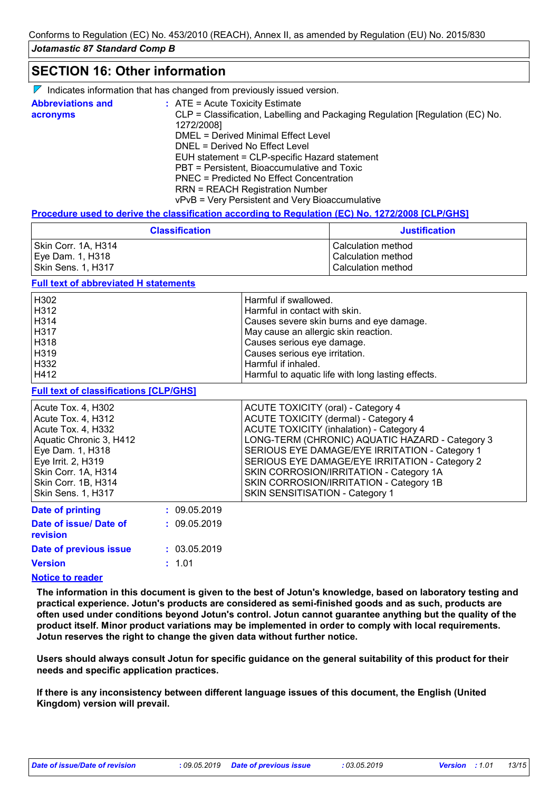# **SECTION 16: Other information**

|  |  | $\nabla$ Indicates information that has changed from previously issued version. |  |  |  |  |  |  |  |
|--|--|---------------------------------------------------------------------------------|--|--|--|--|--|--|--|
|--|--|---------------------------------------------------------------------------------|--|--|--|--|--|--|--|

| <b>Abbreviations and</b> | $\therefore$ ATE = Acute Toxicity Estimate                                    |
|--------------------------|-------------------------------------------------------------------------------|
| acronyms                 | CLP = Classification, Labelling and Packaging Regulation [Regulation (EC) No. |
|                          | 1272/2008]                                                                    |
|                          | DMEL = Derived Minimal Effect Level                                           |
|                          | DNEL = Derived No Effect Level                                                |
|                          | EUH statement = CLP-specific Hazard statement                                 |
|                          | PBT = Persistent, Bioaccumulative and Toxic                                   |
|                          | PNEC = Predicted No Effect Concentration                                      |
|                          | <b>RRN = REACH Registration Number</b>                                        |
|                          | vPvB = Very Persistent and Very Bioaccumulative                               |

#### **Procedure used to derive the classification according to Regulation (EC) No. 1272/2008 [CLP/GHS]**

| <b>Classification</b> | <b>Justification</b> |
|-----------------------|----------------------|
| Skin Corr. 1A, H314   | l Calculation method |
| Eye Dam. 1, H318      | l Calculation method |
| Skin Sens. 1, H317    | l Calculation method |

#### **Full text of abbreviated H statements**

| H302 | Harmful if swallowed.                              |
|------|----------------------------------------------------|
| H312 | Harmful in contact with skin.                      |
| H314 | Causes severe skin burns and eye damage.           |
| H317 | May cause an allergic skin reaction.               |
| H318 | Causes serious eye damage.                         |
| H319 | Causes serious eye irritation.                     |
| H332 | Harmful if inhaled.                                |
| H412 | Harmful to aquatic life with long lasting effects. |

#### **Full text of classifications [CLP/GHS]**

| Acute Tox. 4, H302                 |              | ACUTE TOXICITY (oral) - Category 4              |
|------------------------------------|--------------|-------------------------------------------------|
| Acute Tox. 4, H312                 |              | <b>ACUTE TOXICITY (dermal) - Category 4</b>     |
| Acute Tox. 4, H332                 |              | <b>ACUTE TOXICITY (inhalation) - Category 4</b> |
| Aquatic Chronic 3, H412            |              | LONG-TERM (CHRONIC) AQUATIC HAZARD - Category 3 |
| Eye Dam. 1, H318                   |              | SERIOUS EYE DAMAGE/EYE IRRITATION - Category 1  |
| Eye Irrit. 2, H319                 |              | SERIOUS EYE DAMAGE/EYE IRRITATION - Category 2  |
| Skin Corr. 1A, H314                |              | SKIN CORROSION/IRRITATION - Category 1A         |
| Skin Corr. 1B, H314                |              | SKIN CORROSION/IRRITATION - Category 1B         |
| Skin Sens. 1, H317                 |              | <b>SKIN SENSITISATION - Category 1</b>          |
| <b>Date of printing</b>            | : 09.05.2019 |                                                 |
| Date of issue/ Date of<br>revision | : 09.05.2019 |                                                 |

| Date of previous issue                                                                                                                                                                                                               | : 03.05.2019 |
|--------------------------------------------------------------------------------------------------------------------------------------------------------------------------------------------------------------------------------------|--------------|
| <b>Version</b>                                                                                                                                                                                                                       | : 1.01       |
| <b>All of the contract of the contract of the contract of the contract of the contract of the contract of the contract of the contract of the contract of the contract of the contract of the contract of the contract of the co</b> |              |

#### **Notice to reader**

**The information in this document is given to the best of Jotun's knowledge, based on laboratory testing and practical experience. Jotun's products are considered as semi-finished goods and as such, products are often used under conditions beyond Jotun's control. Jotun cannot guarantee anything but the quality of the product itself. Minor product variations may be implemented in order to comply with local requirements. Jotun reserves the right to change the given data without further notice.**

**Users should always consult Jotun for specific guidance on the general suitability of this product for their needs and specific application practices.**

**If there is any inconsistency between different language issues of this document, the English (United Kingdom) version will prevail.**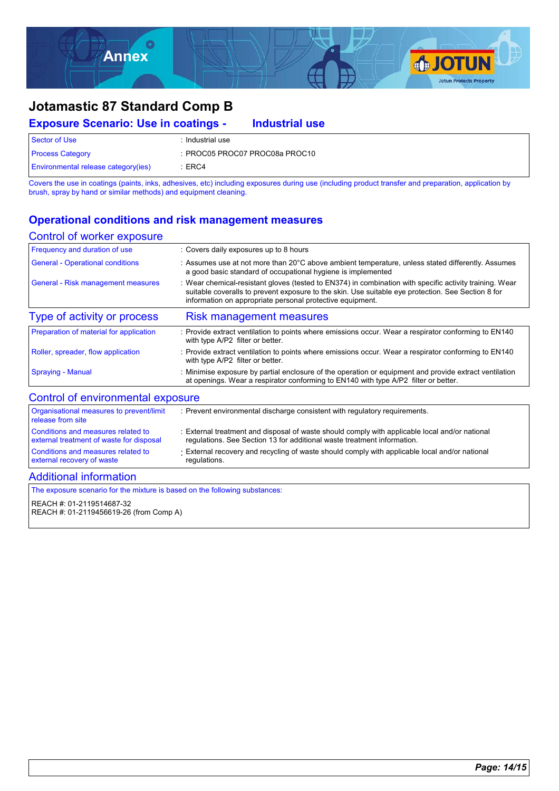

#### **Exposure Scenario: Use in coatings -** Sector of Use : Industrial use Process Category : PROC05 PROC07 PROC08a PROC10 Environmental release category(ies) : ERC4 **Industrial use**

Covers the use in coatings (paints, inks, adhesives, etc) including exposures during use (including product transfer and preparation, application by brush, spray by hand or similar methods) and equipment cleaning.

### **Operational conditions and risk management measures**

#### Control of worker exposure

| Frequency and duration of use           | : Covers daily exposures up to 8 hours                                                                                                                                                                                                                                   |
|-----------------------------------------|--------------------------------------------------------------------------------------------------------------------------------------------------------------------------------------------------------------------------------------------------------------------------|
| <b>General - Operational conditions</b> | : Assumes use at not more than 20°C above ambient temperature, unless stated differently. Assumes<br>a good basic standard of occupational hygiene is implemented                                                                                                        |
| General - Risk management measures      | Wear chemical-resistant gloves (tested to EN374) in combination with specific activity training. Wear<br>suitable coveralls to prevent exposure to the skin. Use suitable eye protection. See Section 8 for<br>information on appropriate personal protective equipment. |
| Type of activity or process             | <b>Risk management measures</b>                                                                                                                                                                                                                                          |
| Preparation of material for application | : Provide extract ventilation to points where emissions occur. Wear a respirator conforming to EN140<br>with type A/P2 filter or better.                                                                                                                                 |
| Roller, spreader, flow application      | : Provide extract ventilation to points where emissions occur. Wear a respirator conforming to EN140<br>with type A/P2 filter or better.                                                                                                                                 |
| <b>Spraying - Manual</b>                | : Minimise exposure by partial enclosure of the operation or equipment and provide extract ventilation<br>at openings. Wear a respirator conforming to EN140 with type A/P2 filter or better.                                                                            |
| Control of environmental exposure       |                                                                                                                                                                                                                                                                          |

| Organisational measures to prevent/limit<br>release from site                  | : Prevent environmental discharge consistent with regulatory requirements.                                                                                                |
|--------------------------------------------------------------------------------|---------------------------------------------------------------------------------------------------------------------------------------------------------------------------|
| Conditions and measures related to<br>external treatment of waste for disposal | : External treatment and disposal of waste should comply with applicable local and/or national<br>regulations. See Section 13 for additional waste treatment information. |
| Conditions and measures related to<br>external recovery of waste               | External recovery and recycling of waste should comply with applicable local and/or national<br>regulations.                                                              |
| <b>Additional information</b>                                                  |                                                                                                                                                                           |

The exposure scenario for the mixture is based on the following substances:

REACH #: 01-2119514687-32

REACH #: 01-2119456619-26 (from Comp A)